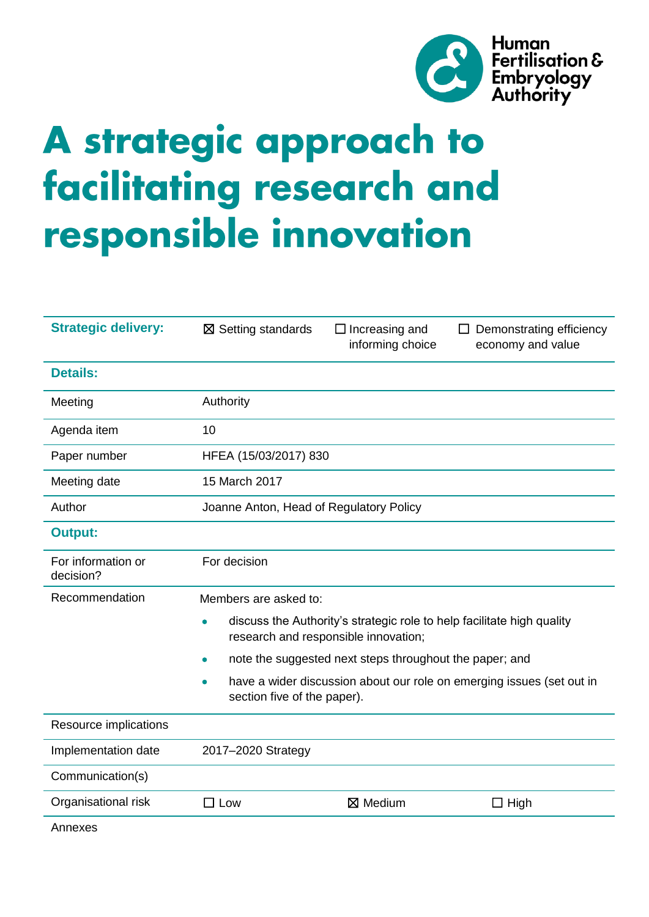

# A strategic approach to facilitating research and responsible innovation

| <b>Strategic delivery:</b>      | $\boxtimes$ Setting standards                                                                                                                                             | $\Box$ Increasing and<br>informing choice | Demonstrating efficiency<br>$\perp$<br>economy and value |  |  |
|---------------------------------|---------------------------------------------------------------------------------------------------------------------------------------------------------------------------|-------------------------------------------|----------------------------------------------------------|--|--|
| <b>Details:</b>                 |                                                                                                                                                                           |                                           |                                                          |  |  |
| Meeting                         | Authority                                                                                                                                                                 |                                           |                                                          |  |  |
| Agenda item                     | 10                                                                                                                                                                        |                                           |                                                          |  |  |
| Paper number                    | HFEA (15/03/2017) 830                                                                                                                                                     |                                           |                                                          |  |  |
| Meeting date                    | 15 March 2017                                                                                                                                                             |                                           |                                                          |  |  |
| Author                          | Joanne Anton, Head of Regulatory Policy                                                                                                                                   |                                           |                                                          |  |  |
| <b>Output:</b>                  |                                                                                                                                                                           |                                           |                                                          |  |  |
| For information or<br>decision? | For decision                                                                                                                                                              |                                           |                                                          |  |  |
| Recommendation                  | Members are asked to:                                                                                                                                                     |                                           |                                                          |  |  |
|                                 | discuss the Authority's strategic role to help facilitate high quality<br>research and responsible innovation;<br>note the suggested next steps throughout the paper; and |                                           |                                                          |  |  |
|                                 |                                                                                                                                                                           |                                           |                                                          |  |  |
|                                 | have a wider discussion about our role on emerging issues (set out in<br>section five of the paper).                                                                      |                                           |                                                          |  |  |
| Resource implications           |                                                                                                                                                                           |                                           |                                                          |  |  |
| Implementation date             | 2017-2020 Strategy                                                                                                                                                        |                                           |                                                          |  |  |
| Communication(s)                |                                                                                                                                                                           |                                           |                                                          |  |  |
| Organisational risk             | $\square$ Low                                                                                                                                                             | $\boxtimes$ Medium                        | $\Box$ High                                              |  |  |
| Annexes                         |                                                                                                                                                                           |                                           |                                                          |  |  |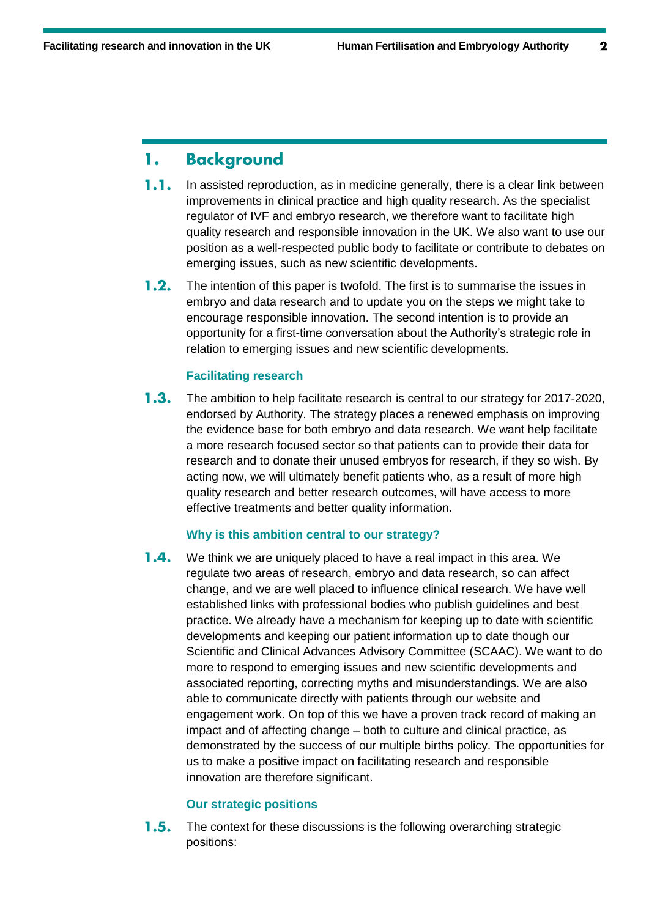### **Background** 1.

- $1.1.$ In assisted reproduction, as in medicine generally, there is a clear link between improvements in clinical practice and high quality research. As the specialist regulator of IVF and embryo research, we therefore want to facilitate high quality research and responsible innovation in the UK. We also want to use our position as a well-respected public body to facilitate or contribute to debates on emerging issues, such as new scientific developments.
- $1.2.$ The intention of this paper is twofold. The first is to summarise the issues in embryo and data research and to update you on the steps we might take to encourage responsible innovation. The second intention is to provide an opportunity for a first-time conversation about the Authority's strategic role in relation to emerging issues and new scientific developments.

# **Facilitating research**

 $1.3.$ The ambition to help facilitate research is central to our strategy for 2017-2020, endorsed by Authority. The strategy places a renewed emphasis on improving the evidence base for both embryo and data research. We want help facilitate a more research focused sector so that patients can to provide their data for research and to donate their unused embryos for research, if they so wish. By acting now, we will ultimately benefit patients who, as a result of more high quality research and better research outcomes, will have access to more effective treatments and better quality information.

# **Why is this ambition central to our strategy?**

 $1.4.$ We think we are uniquely placed to have a real impact in this area. We regulate two areas of research, embryo and data research, so can affect change, and we are well placed to influence clinical research. We have well established links with professional bodies who publish guidelines and best practice. We already have a mechanism for keeping up to date with scientific developments and keeping our patient information up to date though our Scientific and Clinical Advances Advisory Committee (SCAAC). We want to do more to respond to emerging issues and new scientific developments and associated reporting, correcting myths and misunderstandings. We are also able to communicate directly with patients through our website and engagement work. On top of this we have a proven track record of making an impact and of affecting change – both to culture and clinical practice, as demonstrated by the success of our multiple births policy. The opportunities for us to make a positive impact on facilitating research and responsible innovation are therefore significant.

# **Our strategic positions**

 $1.5.$ The context for these discussions is the following overarching strategic positions: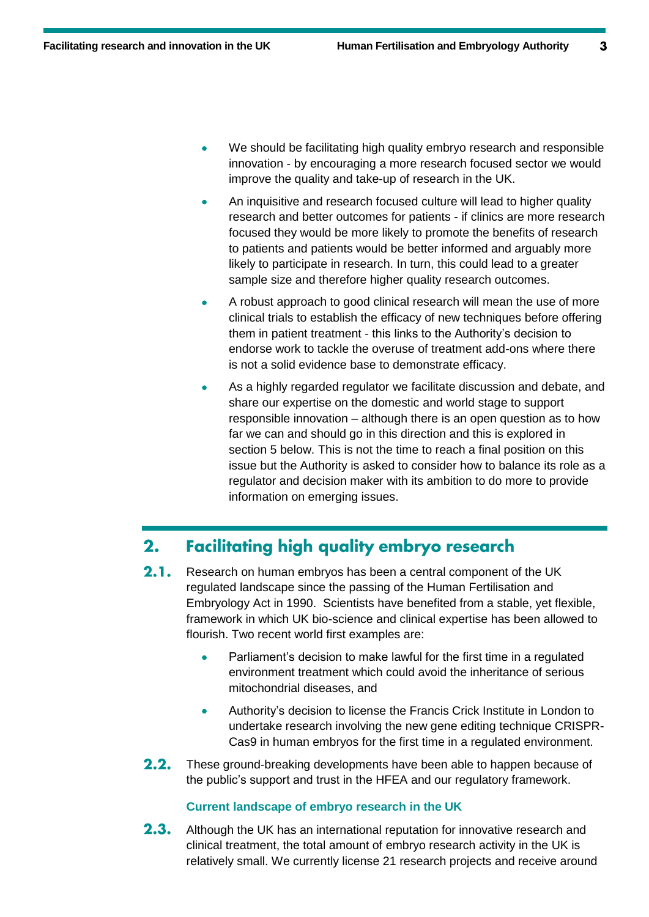- We should be facilitating high quality embryo research and responsible innovation - by encouraging a more research focused sector we would improve the quality and take-up of research in the UK.
- An inquisitive and research focused culture will lead to higher quality research and better outcomes for patients - if clinics are more research focused they would be more likely to promote the benefits of research to patients and patients would be better informed and arguably more likely to participate in research. In turn, this could lead to a greater sample size and therefore higher quality research outcomes.
- A robust approach to good clinical research will mean the use of more clinical trials to establish the efficacy of new techniques before offering them in patient treatment - this links to the Authority's decision to endorse work to tackle the overuse of treatment add-ons where there is not a solid evidence base to demonstrate efficacy.
- As a highly regarded regulator we facilitate discussion and debate, and share our expertise on the domestic and world stage to support responsible innovation – although there is an open question as to how far we can and should go in this direction and this is explored in section 5 below. This is not the time to reach a final position on this issue but the Authority is asked to consider how to balance its role as a regulator and decision maker with its ambition to do more to provide information on emerging issues.

## **Facilitating high quality embryo research**  $2.$

- $2.1.$ Research on human embryos has been a central component of the UK regulated landscape since the passing of the Human Fertilisation and Embryology Act in 1990. Scientists have benefited from a stable, yet flexible, framework in which UK bio-science and clinical expertise has been allowed to flourish. Two recent world first examples are:
	- Parliament's decision to make lawful for the first time in a regulated environment treatment which could avoid the inheritance of serious mitochondrial diseases, and
	- Authority's decision to license the Francis Crick Institute in London to undertake research involving the new gene editing technique CRISPR-Cas9 in human embryos for the first time in a regulated environment.
- $2.2.$ These ground-breaking developments have been able to happen because of the public's support and trust in the HFEA and our regulatory framework.

# **Current landscape of embryo research in the UK**

 $2.3.$ Although the UK has an international reputation for innovative research and clinical treatment, the total amount of embryo research activity in the UK is relatively small. We currently license 21 research projects and receive around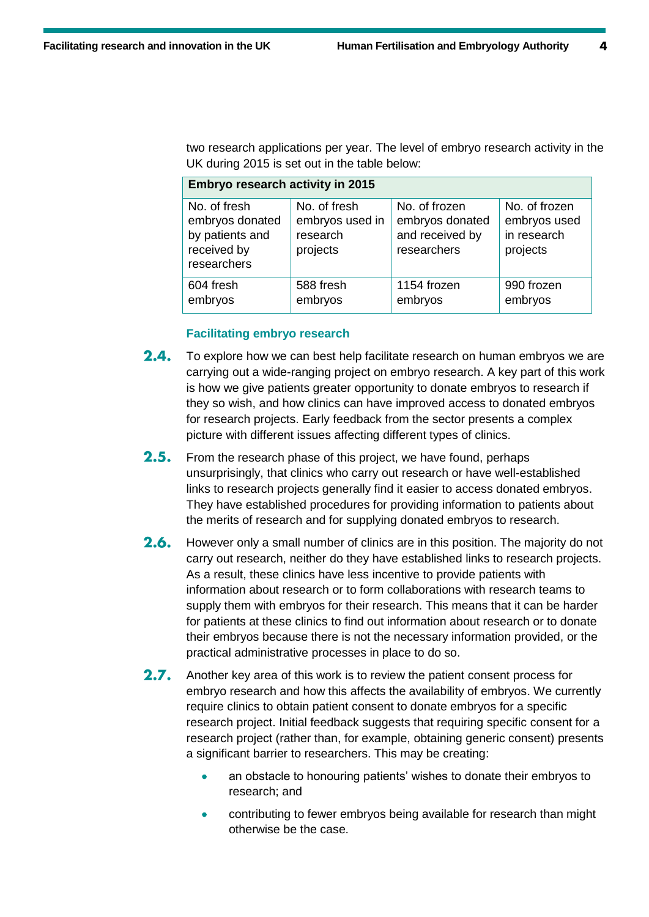two research applications per year. The level of embryo research activity in the UK during 2015 is set out in the table below:

| Embryo research activity in 2015                                                 |                                                         |                                                                    |                                                          |  |  |
|----------------------------------------------------------------------------------|---------------------------------------------------------|--------------------------------------------------------------------|----------------------------------------------------------|--|--|
| No. of fresh<br>embryos donated<br>by patients and<br>received by<br>researchers | No. of fresh<br>embryos used in<br>research<br>projects | No. of frozen<br>embryos donated<br>and received by<br>researchers | No. of frozen<br>embryos used<br>in research<br>projects |  |  |
| 604 fresh<br>embryos                                                             | 588 fresh<br>embryos                                    | 1154 frozen<br>embryos                                             | 990 frozen<br>embryos                                    |  |  |

## **Facilitating embryo research**

- $2.4.$ To explore how we can best help facilitate research on human embryos we are carrying out a wide-ranging project on embryo research. A key part of this work is how we give patients greater opportunity to donate embryos to research if they so wish, and how clinics can have improved access to donated embryos for research projects. Early feedback from the sector presents a complex picture with different issues affecting different types of clinics.
- $2.5.$ From the research phase of this project, we have found, perhaps unsurprisingly, that clinics who carry out research or have well-established links to research projects generally find it easier to access donated embryos. They have established procedures for providing information to patients about the merits of research and for supplying donated embryos to research.
- $2.6.$ However only a small number of clinics are in this position. The majority do not carry out research, neither do they have established links to research projects. As a result, these clinics have less incentive to provide patients with information about research or to form collaborations with research teams to supply them with embryos for their research. This means that it can be harder for patients at these clinics to find out information about research or to donate their embryos because there is not the necessary information provided, or the practical administrative processes in place to do so.
- $2.7.$ Another key area of this work is to review the patient consent process for embryo research and how this affects the availability of embryos. We currently require clinics to obtain patient consent to donate embryos for a specific research project. Initial feedback suggests that requiring specific consent for a research project (rather than, for example, obtaining generic consent) presents a significant barrier to researchers. This may be creating:
	- an obstacle to honouring patients' wishes to donate their embryos to research; and
	- contributing to fewer embryos being available for research than might otherwise be the case.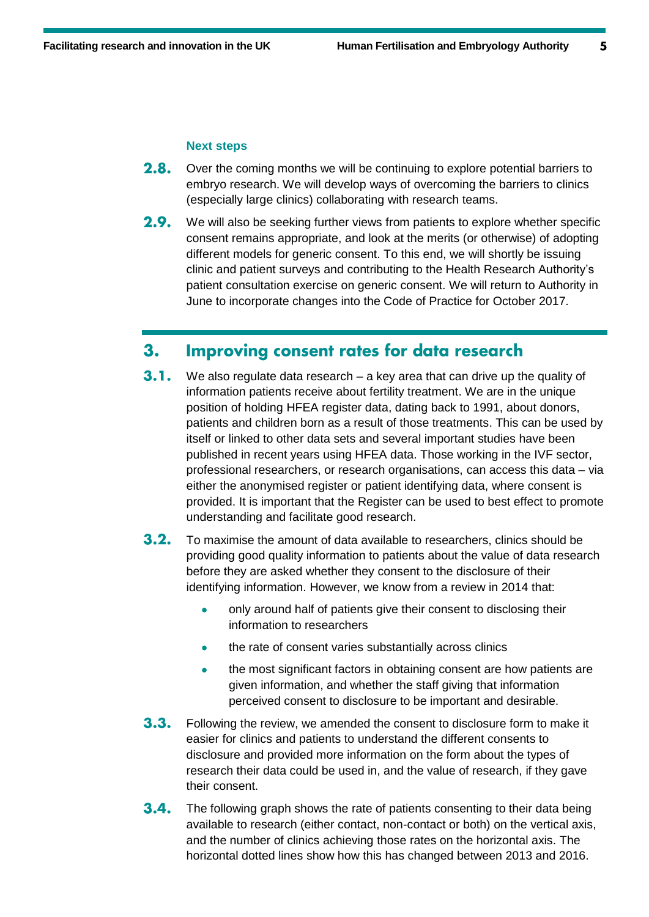5

## **Next steps**

- $2.8.$ Over the coming months we will be continuing to explore potential barriers to embryo research. We will develop ways of overcoming the barriers to clinics (especially large clinics) collaborating with research teams.
- $2.9.$ We will also be seeking further views from patients to explore whether specific consent remains appropriate, and look at the merits (or otherwise) of adopting different models for generic consent. To this end, we will shortly be issuing clinic and patient surveys and contributing to the Health Research Authority's patient consultation exercise on generic consent. We will return to Authority in June to incorporate changes into the Code of Practice for October 2017.

## Improving consent rates for data research  $3.$

- $3.1.$ We also regulate data research – a key area that can drive up the quality of information patients receive about fertility treatment. We are in the unique position of holding HFEA register data, dating back to 1991, about donors, patients and children born as a result of those treatments. This can be used by itself or linked to other data sets and several important studies have been published in recent years using HFEA data. Those working in the IVF sector, professional researchers, or research organisations, can access this data – via either the anonymised register or patient identifying data, where consent is provided. It is important that the Register can be used to best effect to promote understanding and facilitate good research.
- $3.2.$ To maximise the amount of data available to researchers, clinics should be providing good quality information to patients about the value of data research before they are asked whether they consent to the disclosure of their identifying information. However, we know from a review in 2014 that:
	- only around half of patients give their consent to disclosing their information to researchers
	- the rate of consent varies substantially across clinics
	- the most significant factors in obtaining consent are how patients are given information, and whether the staff giving that information perceived consent to disclosure to be important and desirable.
- $3.3.$ Following the review, we amended the consent to disclosure form to make it easier for clinics and patients to understand the different consents to disclosure and provided more information on the form about the types of research their data could be used in, and the value of research, if they gave their consent.
- $3.4.$ The following graph shows the rate of patients consenting to their data being available to research (either contact, non-contact or both) on the vertical axis, and the number of clinics achieving those rates on the horizontal axis. The horizontal dotted lines show how this has changed between 2013 and 2016.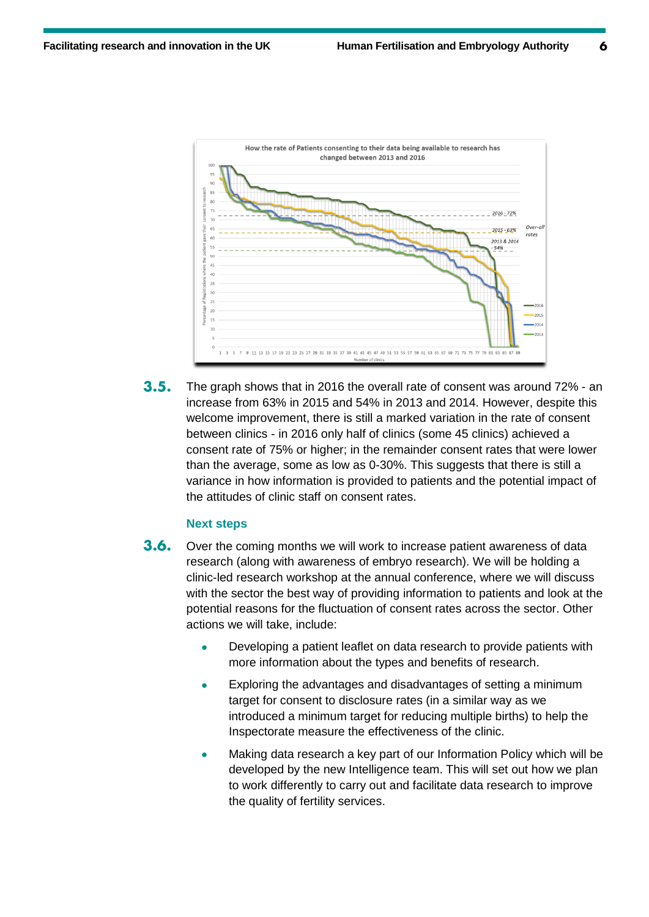

 $3.5.$ The graph shows that in 2016 the overall rate of consent was around 72% - an increase from 63% in 2015 and 54% in 2013 and 2014. However, despite this welcome improvement, there is still a marked variation in the rate of consent between clinics - in 2016 only half of clinics (some 45 clinics) achieved a consent rate of 75% or higher; in the remainder consent rates that were lower than the average, some as low as 0-30%. This suggests that there is still a variance in how information is provided to patients and the potential impact of the attitudes of clinic staff on consent rates.

# **Next steps**

- $3.6.$ Over the coming months we will work to increase patient awareness of data research (along with awareness of embryo research). We will be holding a clinic-led research workshop at the annual conference, where we will discuss with the sector the best way of providing information to patients and look at the potential reasons for the fluctuation of consent rates across the sector. Other actions we will take, include:
	- Developing a patient leaflet on data research to provide patients with more information about the types and benefits of research.
	- Exploring the advantages and disadvantages of setting a minimum target for consent to disclosure rates (in a similar way as we introduced a minimum target for reducing multiple births) to help the Inspectorate measure the effectiveness of the clinic.
	- Making data research a key part of our Information Policy which will be developed by the new Intelligence team. This will set out how we plan to work differently to carry out and facilitate data research to improve the quality of fertility services.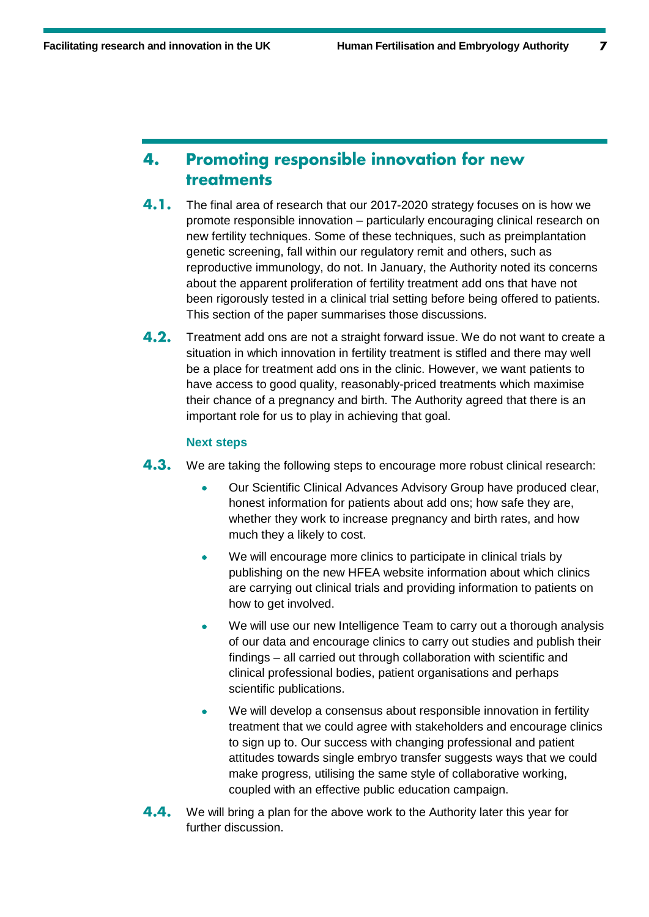$\overline{z}$ 

## **Promoting responsible innovation for new** 4. treatments

- 4.1. The final area of research that our 2017-2020 strategy focuses on is how we promote responsible innovation – particularly encouraging clinical research on new fertility techniques. Some of these techniques, such as preimplantation genetic screening, fall within our regulatory remit and others, such as reproductive immunology, do not. In January, the Authority noted its concerns about the apparent proliferation of fertility treatment add ons that have not been rigorously tested in a clinical trial setting before being offered to patients. This section of the paper summarises those discussions.
- $4.2.$ Treatment add ons are not a straight forward issue. We do not want to create a situation in which innovation in fertility treatment is stifled and there may well be a place for treatment add ons in the clinic. However, we want patients to have access to good quality, reasonably-priced treatments which maximise their chance of a pregnancy and birth. The Authority agreed that there is an important role for us to play in achieving that goal.

# **Next steps**

- $4.3.$ We are taking the following steps to encourage more robust clinical research:
	- Our Scientific Clinical Advances Advisory Group have produced clear, honest information for patients about add ons; how safe they are, whether they work to increase pregnancy and birth rates, and how much they a likely to cost.
	- We will encourage more clinics to participate in clinical trials by publishing on the new HFEA website information about which clinics are carrying out clinical trials and providing information to patients on how to get involved.
	- We will use our new Intelligence Team to carry out a thorough analysis of our data and encourage clinics to carry out studies and publish their findings – all carried out through collaboration with scientific and clinical professional bodies, patient organisations and perhaps scientific publications.
	- We will develop a consensus about responsible innovation in fertility treatment that we could agree with stakeholders and encourage clinics to sign up to. Our success with changing professional and patient attitudes towards single embryo transfer suggests ways that we could make progress, utilising the same style of collaborative working, coupled with an effective public education campaign.
- 4.4. We will bring a plan for the above work to the Authority later this year for further discussion.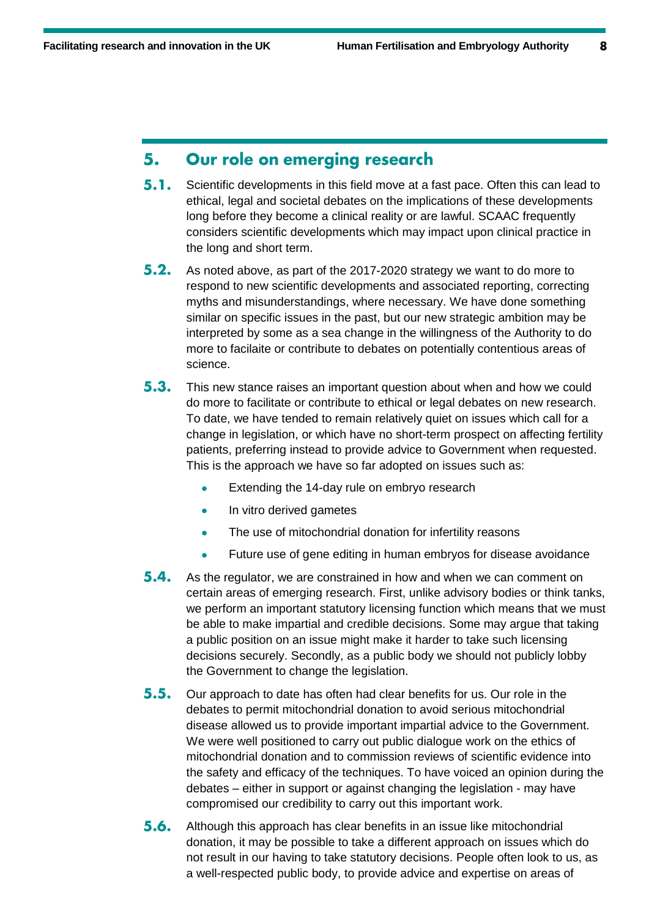#### Our role on emerging research 5.

- $5.1.$ Scientific developments in this field move at a fast pace. Often this can lead to ethical, legal and societal debates on the implications of these developments long before they become a clinical reality or are lawful. SCAAC frequently considers scientific developments which may impact upon clinical practice in the long and short term.
- $5.2.$ As noted above, as part of the 2017-2020 strategy we want to do more to respond to new scientific developments and associated reporting, correcting myths and misunderstandings, where necessary. We have done something similar on specific issues in the past, but our new strategic ambition may be interpreted by some as a sea change in the willingness of the Authority to do more to facilaite or contribute to debates on potentially contentious areas of science.
- $5.3.$ This new stance raises an important question about when and how we could do more to facilitate or contribute to ethical or legal debates on new research. To date, we have tended to remain relatively quiet on issues which call for a change in legislation, or which have no short-term prospect on affecting fertility patients, preferring instead to provide advice to Government when requested. This is the approach we have so far adopted on issues such as:
	- **Extending the 14-day rule on embryo research**
	- In vitro derived gametes
	- The use of mitochondrial donation for infertility reasons
	- Future use of gene editing in human embryos for disease avoidance
- $5.4.$ As the regulator, we are constrained in how and when we can comment on certain areas of emerging research. First, unlike advisory bodies or think tanks, we perform an important statutory licensing function which means that we must be able to make impartial and credible decisions. Some may argue that taking a public position on an issue might make it harder to take such licensing decisions securely. Secondly, as a public body we should not publicly lobby the Government to change the legislation.
- $5.5.$ Our approach to date has often had clear benefits for us. Our role in the debates to permit mitochondrial donation to avoid serious mitochondrial disease allowed us to provide important impartial advice to the Government. We were well positioned to carry out public dialogue work on the ethics of mitochondrial donation and to commission reviews of scientific evidence into the safety and efficacy of the techniques. To have voiced an opinion during the debates – either in support or against changing the legislation - may have compromised our credibility to carry out this important work.
- $5.6.$ Although this approach has clear benefits in an issue like mitochondrial donation, it may be possible to take a different approach on issues which do not result in our having to take statutory decisions. People often look to us, as a well-respected public body, to provide advice and expertise on areas of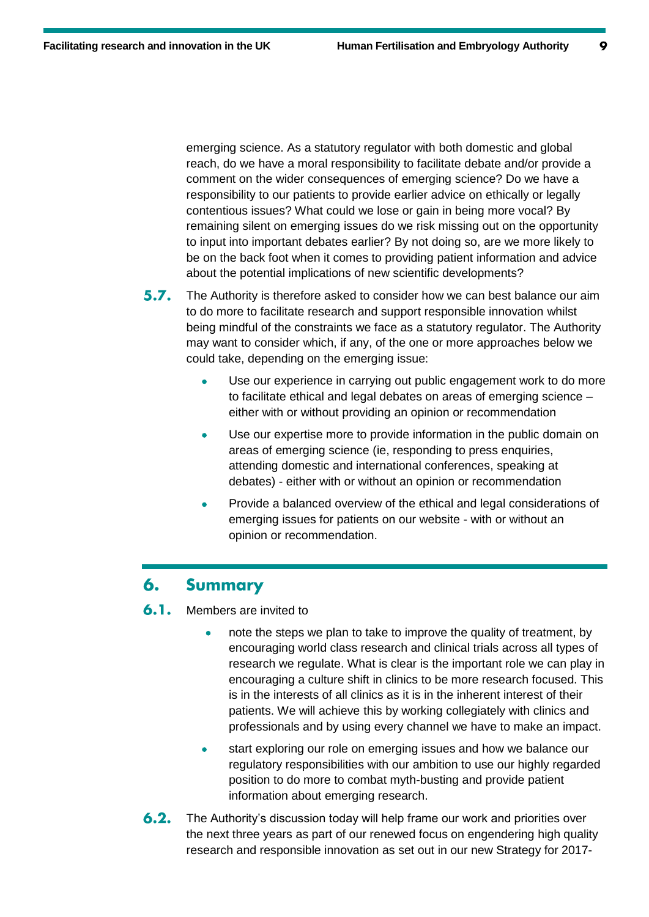$\boldsymbol{Q}$ 

emerging science. As a statutory regulator with both domestic and global reach, do we have a moral responsibility to facilitate debate and/or provide a comment on the wider consequences of emerging science? Do we have a responsibility to our patients to provide earlier advice on ethically or legally contentious issues? What could we lose or gain in being more vocal? By remaining silent on emerging issues do we risk missing out on the opportunity to input into important debates earlier? By not doing so, are we more likely to be on the back foot when it comes to providing patient information and advice about the potential implications of new scientific developments?

- $5.7.$ The Authority is therefore asked to consider how we can best balance our aim to do more to facilitate research and support responsible innovation whilst being mindful of the constraints we face as a statutory regulator. The Authority may want to consider which, if any, of the one or more approaches below we could take, depending on the emerging issue:
	- Use our experience in carrying out public engagement work to do more to facilitate ethical and legal debates on areas of emerging science – either with or without providing an opinion or recommendation
	- Use our expertise more to provide information in the public domain on areas of emerging science (ie, responding to press enquiries, attending domestic and international conferences, speaking at debates) - either with or without an opinion or recommendation
	- Provide a balanced overview of the ethical and legal considerations of emerging issues for patients on our website - with or without an opinion or recommendation.

#### 6. **Summary**

 $6.1.$ Members are invited to

- note the steps we plan to take to improve the quality of treatment, by encouraging world class research and clinical trials across all types of research we regulate. What is clear is the important role we can play in encouraging a culture shift in clinics to be more research focused. This is in the interests of all clinics as it is in the inherent interest of their patients. We will achieve this by working collegiately with clinics and professionals and by using every channel we have to make an impact.
- start exploring our role on emerging issues and how we balance our regulatory responsibilities with our ambition to use our highly regarded position to do more to combat myth-busting and provide patient information about emerging research.
- $6.2.$ The Authority's discussion today will help frame our work and priorities over the next three years as part of our renewed focus on engendering high quality research and responsible innovation as set out in our new Strategy for 2017-